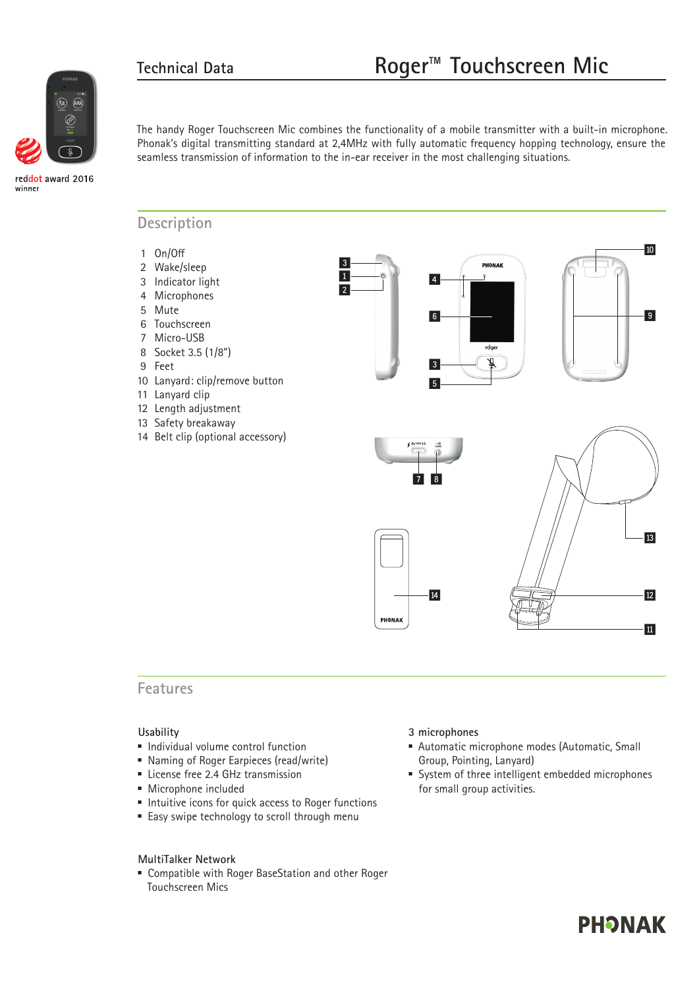

reddot award 2016 winner

The handy Roger Touchscreen Mic combines the functionality of a mobile transmitter with a built-in microphone. Phonak's digital transmitting standard at 2,4MHz with fully automatic frequency hopping technology, ensure the seamless transmission of information to the in-ear receiver in the most challenging situations.

> 1  $\overline{2}$

3

#### **Description**

- 1 On/Off
- 2 Wake/sleep
- 3 Indicator light
- 4 Microphones
- 5 Mute
- 6 Touchscreen
- 7 Micro-USB
- 8 Socket 3.5 (1/8")
- 9 Feet
- 10 Lanyard: clip/remove button
- 11 Lanyard clip
- 12 Length adjustment
- 13 Safety breakaway
- 14 Belt clip (optional accessory)







#### **Features**

#### **Usability**

- **Individual volume control function**
- Naming of Roger Earpieces (read/write)
- **Exercise free 2.4 GHz transmission**
- **Microphone included**
- $\blacksquare$  Intuitive icons for quick access to Roger functions
- Easy swipe technology to scroll through menu

#### **MultiTalker Network**

 Compatible with Roger BaseStation and other Roger Touchscreen Mics

#### **3 microphones**

- Automatic microphone modes (Automatic, Small Group, Pointing, Lanyard)
- System of three intelligent embedded microphones for small group activities.

# **PHONAK**